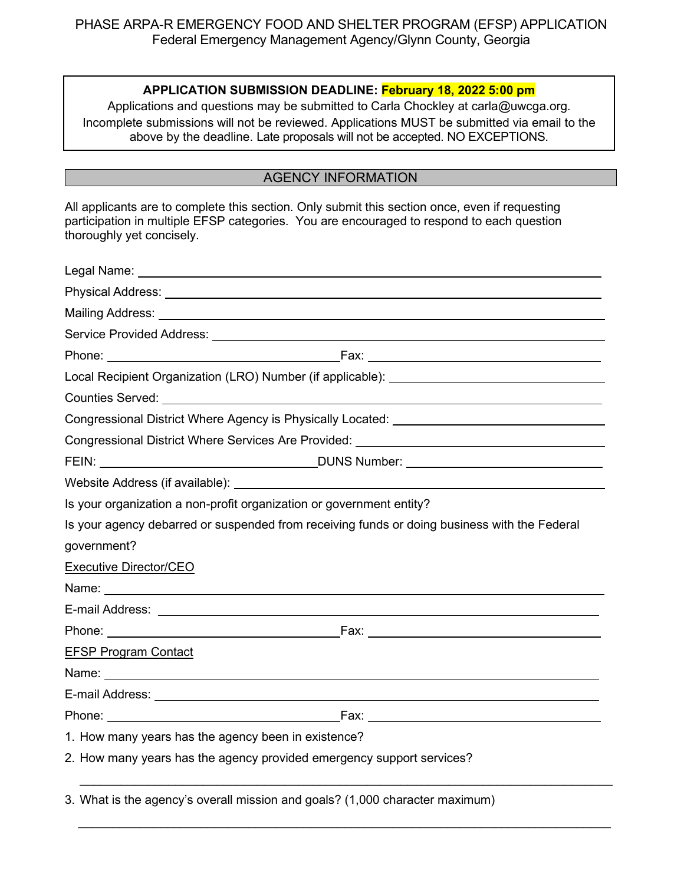### **APPLICATION SUBMISSION DEADLINE: February 18, 2022 5:00 pm**

Applications and questions may be submitted to Carla Chockley at carla@uwcga.org. Incomplete submissions will not be reviewed. Applications MUST be submitted via email to the above by the deadline. Late proposals will not be accepted. NO EXCEPTIONS.

# AGENCY INFORMATION

All applicants are to complete this section. Only submit this section once, even if requesting participation in multiple EFSP categories. You are encouraged to respond to each question thoroughly yet concisely.

|                                                                      | Phone: 2008 2012 2022 2023 2024 2022 2022 2023 2024 2022 2023 2024 2022 2023 2024 2022 2023 2024 2022 2023 20 |
|----------------------------------------------------------------------|---------------------------------------------------------------------------------------------------------------|
|                                                                      | Local Recipient Organization (LRO) Number (if applicable): ______________________                             |
|                                                                      |                                                                                                               |
|                                                                      | Congressional District Where Agency is Physically Located: ______________________                             |
|                                                                      | Congressional District Where Services Are Provided: ____________________________                              |
|                                                                      |                                                                                                               |
|                                                                      |                                                                                                               |
| Is your organization a non-profit organization or government entity? |                                                                                                               |
|                                                                      | Is your agency debarred or suspended from receiving funds or doing business with the Federal                  |
| government?                                                          |                                                                                                               |
| Executive Director/CEO                                               |                                                                                                               |
|                                                                      |                                                                                                               |
|                                                                      |                                                                                                               |
|                                                                      |                                                                                                               |
| <b>EFSP Program Contact</b>                                          |                                                                                                               |
|                                                                      |                                                                                                               |
|                                                                      |                                                                                                               |
|                                                                      |                                                                                                               |
| 1. How many years has the agency been in existence?                  |                                                                                                               |
|                                                                      | 2. How many years has the agency provided emergency support services?                                         |

3. What is the agency's overall mission and goals? (1,000 character maximum)

 $\_$  , and the set of the set of the set of the set of the set of the set of the set of the set of the set of the set of the set of the set of the set of the set of the set of the set of the set of the set of the set of th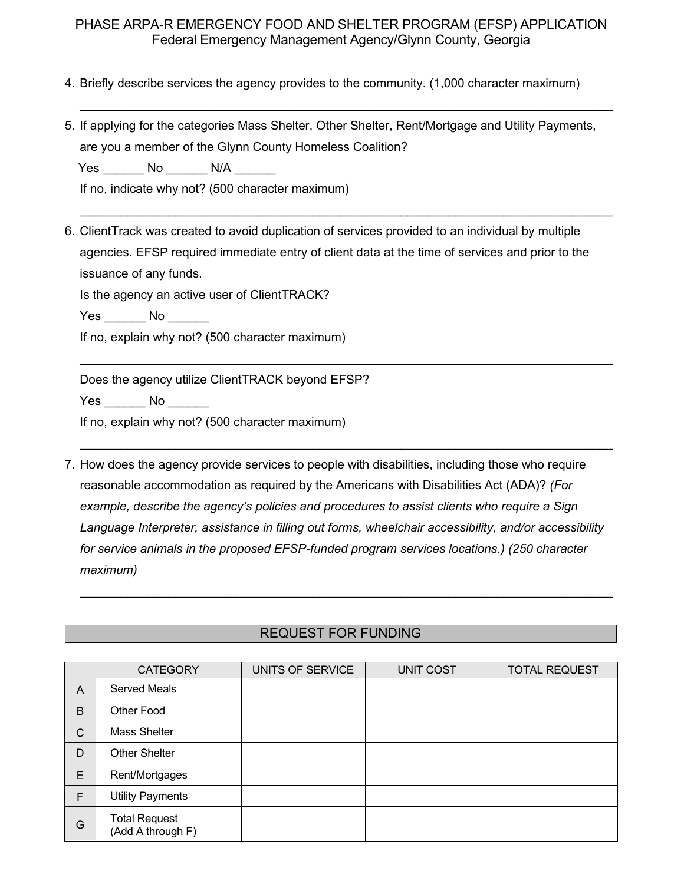$\_$  , and the set of the set of the set of the set of the set of the set of the set of the set of the set of the set of the set of the set of the set of the set of the set of the set of the set of the set of the set of th

 $\_$  , and the set of the set of the set of the set of the set of the set of the set of the set of the set of the set of the set of the set of the set of the set of the set of the set of the set of the set of the set of th

\_\_\_\_\_\_\_\_\_\_\_\_\_\_\_\_\_\_\_\_\_\_\_\_\_\_\_\_\_\_\_\_\_\_\_\_\_\_\_\_\_\_\_\_\_\_\_\_\_\_\_\_\_\_\_\_\_\_\_\_\_\_\_\_\_\_\_\_\_\_\_\_\_\_\_\_\_\_

 $\_$  , and the set of the set of the set of the set of the set of the set of the set of the set of the set of the set of the set of the set of the set of the set of the set of the set of the set of the set of the set of th

- 4. Briefly describe services the agency provides to the community. (1,000 character maximum)
- 5. If applying for the categories Mass Shelter, Other Shelter, Rent/Mortgage and Utility Payments, are you a member of the Glynn County Homeless Coalition?

Yes \_\_\_\_\_\_\_ No \_\_\_\_\_\_\_ N/A \_\_\_\_\_\_

If no, indicate why not? (500 character maximum)

6. ClientTrack was created to avoid duplication of services provided to an individual by multiple agencies. EFSP required immediate entry of client data at the time of services and prior to the issuance of any funds.

Is the agency an active user of ClientTRACK?

Yes No No

If no, explain why not? (500 character maximum)

Does the agency utilize ClientTRACK beyond EFSP?

Yes No  $\blacksquare$ 

If no, explain why not? (500 character maximum)

7. How does the agency provide services to people with disabilities, including those who require reasonable accommodation as required by the Americans with Disabilities Act (ADA)? *(For example, describe the agency's policies and procedures to assist clients who require a Sign Language Interpreter, assistance in filling out forms, wheelchair accessibility, and/or accessibility for service animals in the proposed EFSP-funded program services locations.) (250 character maximum)*

## REQUEST FOR FUNDING

 $\_$  , and the set of the set of the set of the set of the set of the set of the set of the set of the set of the set of the set of the set of the set of the set of the set of the set of the set of the set of the set of th

|              | <b>CATEGORY</b>                           | UNITS OF SERVICE | <b>UNIT COST</b> | <b>TOTAL REQUEST</b> |
|--------------|-------------------------------------------|------------------|------------------|----------------------|
| A            | <b>Served Meals</b>                       |                  |                  |                      |
| B            | <b>Other Food</b>                         |                  |                  |                      |
| $\mathsf{C}$ | <b>Mass Shelter</b>                       |                  |                  |                      |
| D            | <b>Other Shelter</b>                      |                  |                  |                      |
| E            | Rent/Mortgages                            |                  |                  |                      |
| F            | <b>Utility Payments</b>                   |                  |                  |                      |
| G            | <b>Total Request</b><br>(Add A through F) |                  |                  |                      |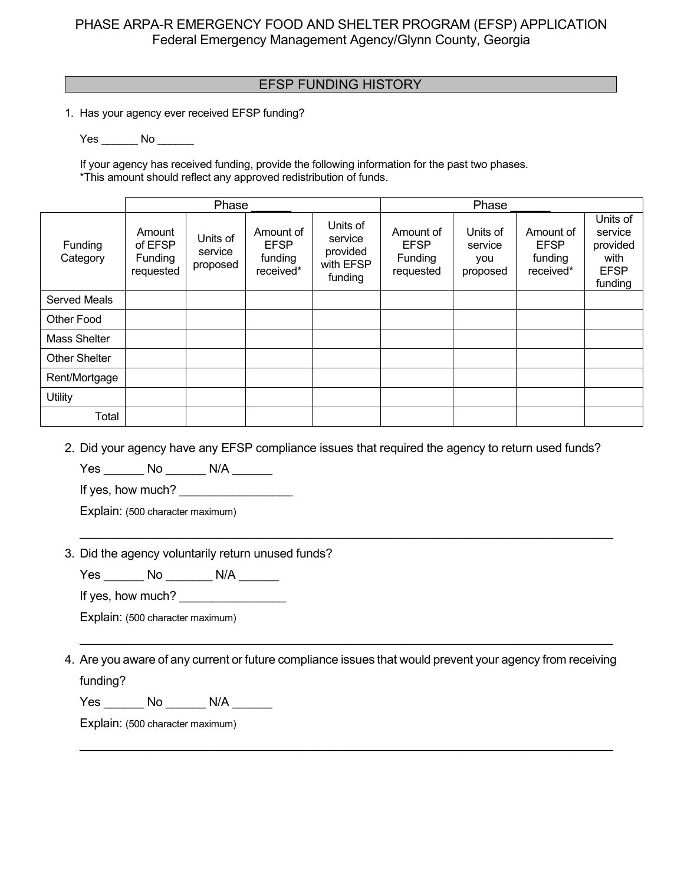## EFSP FUNDING HISTORY **EFSP**

1. Has your agency ever received EFSP funding?

Yes No No

If your agency has received funding, provide the following information for the past two phases. \*This amount should reflect any approved redistribution of funds.

|                      |                                                  | Phase                           |                                                  |                                                         |                                                  | Phase                                  |                                                  |                                                                   |
|----------------------|--------------------------------------------------|---------------------------------|--------------------------------------------------|---------------------------------------------------------|--------------------------------------------------|----------------------------------------|--------------------------------------------------|-------------------------------------------------------------------|
| Funding<br>Category  | Amount<br>of EFSP<br><b>Funding</b><br>requested | Units of<br>service<br>proposed | Amount of<br><b>EFSP</b><br>funding<br>received* | Units of<br>service<br>provided<br>with EFSP<br>funding | Amount of<br><b>EFSP</b><br>Funding<br>requested | Units of<br>service<br>you<br>proposed | Amount of<br><b>EFSP</b><br>funding<br>received* | Units of<br>service<br>provided<br>with<br><b>EFSP</b><br>funding |
| <b>Served Meals</b>  |                                                  |                                 |                                                  |                                                         |                                                  |                                        |                                                  |                                                                   |
| <b>Other Food</b>    |                                                  |                                 |                                                  |                                                         |                                                  |                                        |                                                  |                                                                   |
| Mass Shelter         |                                                  |                                 |                                                  |                                                         |                                                  |                                        |                                                  |                                                                   |
| <b>Other Shelter</b> |                                                  |                                 |                                                  |                                                         |                                                  |                                        |                                                  |                                                                   |
| Rent/Mortgage        |                                                  |                                 |                                                  |                                                         |                                                  |                                        |                                                  |                                                                   |
| Utility              |                                                  |                                 |                                                  |                                                         |                                                  |                                        |                                                  |                                                                   |
| Total                |                                                  |                                 |                                                  |                                                         |                                                  |                                        |                                                  |                                                                   |

2. Did your agency have any EFSP compliance issues that required the agency to return used funds?

\_\_\_\_\_\_\_\_\_\_\_\_\_\_\_\_\_\_\_\_\_\_\_\_\_\_\_\_\_\_\_\_\_\_\_\_\_\_\_\_\_\_\_\_\_\_\_\_\_\_\_\_\_\_\_\_\_\_\_\_\_\_\_\_\_\_\_\_\_\_\_\_\_\_\_\_\_\_\_\_

Yes \_\_\_\_\_ No \_\_\_\_\_\_\_ N/A \_\_\_\_\_\_

If yes, how much? \_\_\_\_\_\_\_\_\_\_\_\_\_\_\_\_\_

Explain: (500 character maximum)

#### 3. Did the agency voluntarily return unused funds?

Yes \_\_\_\_\_\_\_ No \_\_\_\_\_\_\_ N/A \_\_\_\_\_\_

If yes, how much?

Explain: (500 character maximum)

4. Are you aware of any current or future compliance issues that would prevent your agency from receiving funding?

\_\_\_\_\_\_\_\_\_\_\_\_\_\_\_\_\_\_\_\_\_\_\_\_\_\_\_\_\_\_\_\_\_\_\_\_\_\_\_\_\_\_\_\_\_\_\_\_\_\_\_\_\_\_\_\_\_\_\_\_\_\_\_\_\_\_\_\_\_\_\_\_\_\_\_\_\_\_\_\_

\_\_\_\_\_\_\_\_\_\_\_\_\_\_\_\_\_\_\_\_\_\_\_\_\_\_\_\_\_\_\_\_\_\_\_\_\_\_\_\_\_\_\_\_\_\_\_\_\_\_\_\_\_\_\_\_\_\_\_\_\_\_\_\_\_\_\_\_\_\_\_\_\_\_\_\_\_\_\_\_

Yes \_\_\_\_\_\_\_ No \_\_\_\_\_\_\_ N/A \_\_\_\_\_\_\_

Explain: (500 character maximum)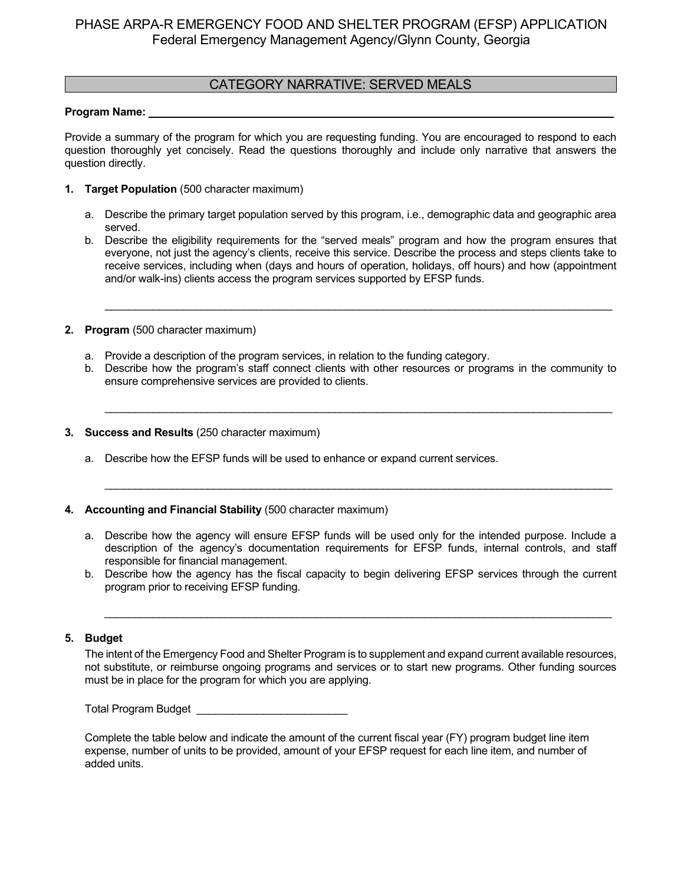### CATEGORY NARRATIVE: SERVED MEALS

#### Program Name:

Provide a summary of the program for which you are requesting funding. You are encouraged to respond to each question thoroughly yet concisely. Read the questions thoroughly and include only narrative that answers the question directly.

- **1. Target Population** (500 character maximum)
	- a. Describe the primary target population served by this program, i.e., demographic data and geographic area served.
	- b. Describe the eligibility requirements for the "served meals" program and how the program ensures that everyone, not just the agency's clients, receive this service. Describe the process and steps clients take to receive services, including when (days and hours of operation, holidays, off hours) and how (appointment and/or walk-ins) clients access the program services supported by EFSP funds.

\_\_\_\_\_\_\_\_\_\_\_\_\_\_\_\_\_\_\_\_\_\_\_\_\_\_\_\_\_\_\_\_\_\_\_\_\_\_\_\_\_\_\_\_\_\_\_\_\_\_\_\_\_\_\_\_\_\_\_\_\_\_\_\_\_\_\_\_\_\_\_\_\_\_\_\_\_\_\_\_\_\_\_\_

- **2. Program** (500 character maximum)
	- a. Provide a description of the program services, in relation to the funding category.
	- b. Describe how the program's staff connect clients with other resources or programs in the community to ensure comprehensive services are provided to clients.

\_\_\_\_\_\_\_\_\_\_\_\_\_\_\_\_\_\_\_\_\_\_\_\_\_\_\_\_\_\_\_\_\_\_\_\_\_\_\_\_\_\_\_\_\_\_\_\_\_\_\_\_\_\_\_\_\_\_\_\_\_\_\_\_\_\_\_\_\_\_\_\_\_\_\_\_\_\_\_\_\_\_\_\_

\_\_\_\_\_\_\_\_\_\_\_\_\_\_\_\_\_\_\_\_\_\_\_\_\_\_\_\_\_\_\_\_\_\_\_\_\_\_\_\_\_\_\_\_\_\_\_\_\_\_\_\_\_\_\_\_\_\_\_\_\_\_\_\_\_\_\_\_\_\_\_\_\_\_\_\_\_\_\_\_\_\_\_\_

- **3. Success and Results** (250 character maximum)
	- a. Describe how the EFSP funds will be used to enhance or expand current services.
- **4. Accounting and Financial Stability** (500 character maximum)
	- a. Describe how the agency will ensure EFSP funds will be used only for the intended purpose. Include a description of the agency's documentation requirements for EFSP funds, internal controls, and staff responsible for financial management.
	- b. Describe how the agency has the fiscal capacity to begin delivering EFSP services through the current program prior to receiving EFSP funding.

*\_\_\_\_\_\_\_\_\_\_\_\_\_\_\_\_\_\_\_\_\_\_\_\_\_\_\_\_\_\_\_\_\_\_\_\_\_\_\_\_\_\_\_\_\_\_\_\_\_\_\_\_\_\_\_\_\_\_\_\_\_\_\_\_\_\_\_\_\_\_\_\_\_\_\_\_\_\_\_\_\_\_\_\_*

#### **5. Budget**

The intent of the Emergency Food and Shelter Program is to supplement and expand current available resources, not substitute, or reimburse ongoing programs and services or to start new programs. Other funding sources must be in place for the program for which you are applying.

Total Program Budget \_\_\_\_\_\_\_\_\_\_\_\_\_\_\_\_\_\_\_\_\_\_\_\_\_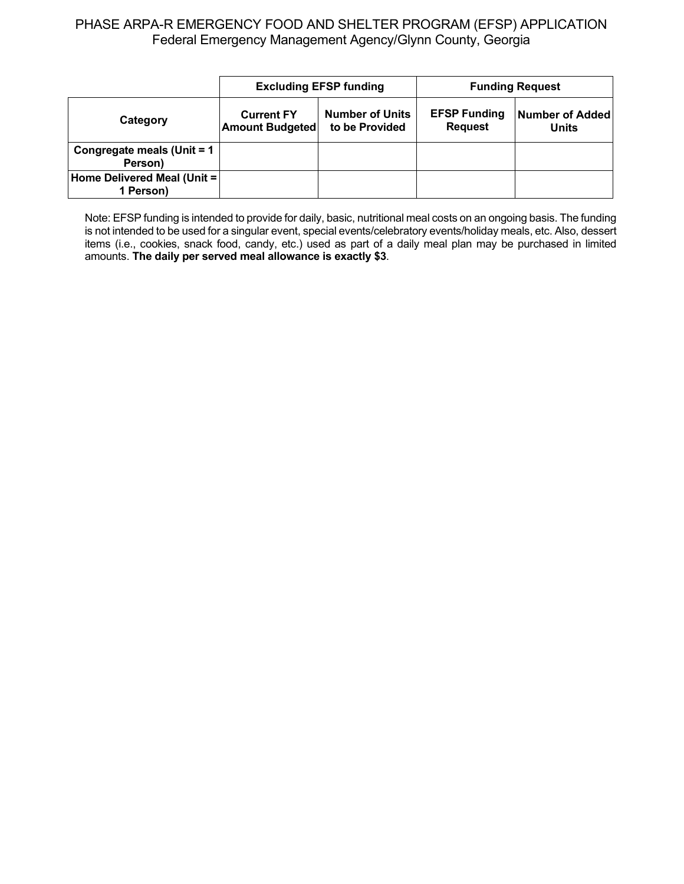|                                          |                                                                                         | <b>Excluding EFSP funding</b> | <b>Funding Request</b>                |                          |  |
|------------------------------------------|-----------------------------------------------------------------------------------------|-------------------------------|---------------------------------------|--------------------------|--|
| Category                                 | <b>Number of Units</b><br><b>Current FY</b><br>to be Provided<br><b>Amount Budgeted</b> |                               | <b>EFSP Funding</b><br><b>Request</b> | Number of Added<br>Units |  |
| Congregate meals (Unit = 1<br>Person)    |                                                                                         |                               |                                       |                          |  |
| Home Delivered Meal (Unit =<br>1 Person) |                                                                                         |                               |                                       |                          |  |

Note: EFSP funding is intended to provide for daily, basic, nutritional meal costs on an ongoing basis. The funding is not intended to be used for a singular event, special events/celebratory events/holiday meals, etc. Also, dessert items (i.e., cookies, snack food, candy, etc.) used as part of a daily meal plan may be purchased in limited amounts. **The daily per served meal allowance is exactly \$3**.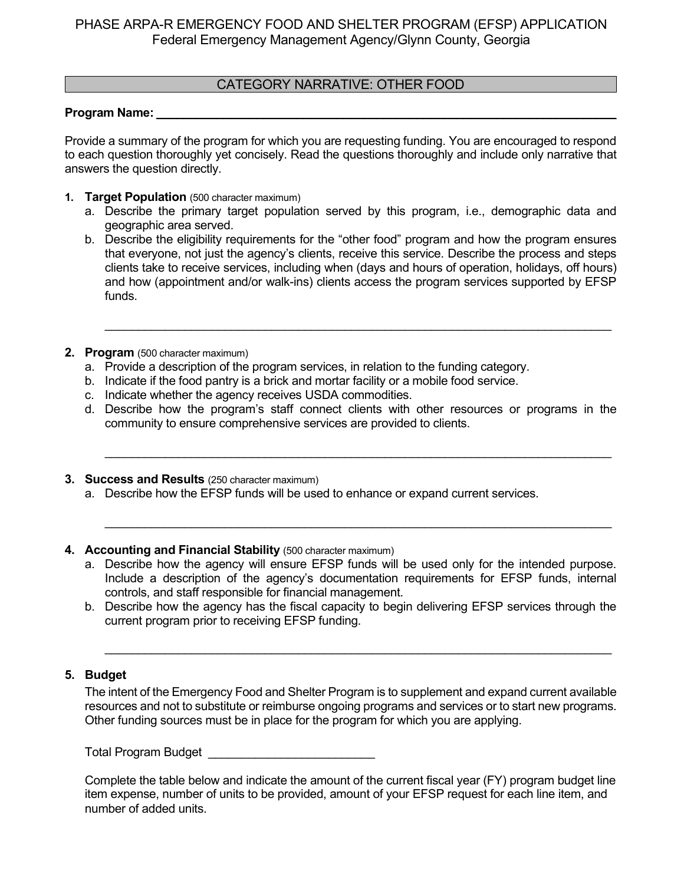### CATEGORY NARRATIVE: OTHER FOOD

#### **Program Name:**

Provide a summary of the program for which you are requesting funding. You are encouraged to respond to each question thoroughly yet concisely. Read the questions thoroughly and include only narrative that answers the question directly.

- **1. Target Population** (500 character maximum)
	- a. Describe the primary target population served by this program, i.e., demographic data and geographic area served.
	- b. Describe the eligibility requirements for the "other food" program and how the program ensures that everyone, not just the agency's clients, receive this service. Describe the process and steps clients take to receive services, including when (days and hours of operation, holidays, off hours) and how (appointment and/or walk-ins) clients access the program services supported by EFSP funds.

\_\_\_\_\_\_\_\_\_\_\_\_\_\_\_\_\_\_\_\_\_\_\_\_\_\_\_\_\_\_\_\_\_\_\_\_\_\_\_\_\_\_\_\_\_\_\_\_\_\_\_\_\_\_\_\_\_\_\_\_\_\_\_\_\_\_\_\_\_\_\_\_\_\_\_\_

- **2. Program** (500 character maximum)
	- a. Provide a description of the program services, in relation to the funding category.
	- b. Indicate if the food pantry is a brick and mortar facility or a mobile food service.
	- c. Indicate whether the agency receives USDA commodities.
	- d. Describe how the program's staff connect clients with other resources or programs in the community to ensure comprehensive services are provided to clients.

\_\_\_\_\_\_\_\_\_\_\_\_\_\_\_\_\_\_\_\_\_\_\_\_\_\_\_\_\_\_\_\_\_\_\_\_\_\_\_\_\_\_\_\_\_\_\_\_\_\_\_\_\_\_\_\_\_\_\_\_\_\_\_\_\_\_\_\_\_\_\_\_\_\_\_\_

\_\_\_\_\_\_\_\_\_\_\_\_\_\_\_\_\_\_\_\_\_\_\_\_\_\_\_\_\_\_\_\_\_\_\_\_\_\_\_\_\_\_\_\_\_\_\_\_\_\_\_\_\_\_\_\_\_\_\_\_\_\_\_\_\_\_\_\_\_\_\_\_\_\_\_\_

- **3. Success and Results** (250 character maximum)
	- a. Describe how the EFSP funds will be used to enhance or expand current services.
- **4. Accounting and Financial Stability** (500 character maximum)
	- a. Describe how the agency will ensure EFSP funds will be used only for the intended purpose. Include a description of the agency's documentation requirements for EFSP funds, internal controls, and staff responsible for financial management.
	- b. Describe how the agency has the fiscal capacity to begin delivering EFSP services through the current program prior to receiving EFSP funding.

\_\_\_\_\_\_\_\_\_\_\_\_\_\_\_\_\_\_\_\_\_\_\_\_\_\_\_\_\_\_\_\_\_\_\_\_\_\_\_\_\_\_\_\_\_\_\_\_\_\_\_\_\_\_\_\_\_\_\_\_\_\_\_\_\_\_\_\_\_\_\_\_\_\_\_\_

### **5. Budget**

The intent of the Emergency Food and Shelter Program is to supplement and expand current available resources and not to substitute or reimburse ongoing programs and services or to start new programs. Other funding sources must be in place for the program for which you are applying.

Total Program Budget **Exercise 20**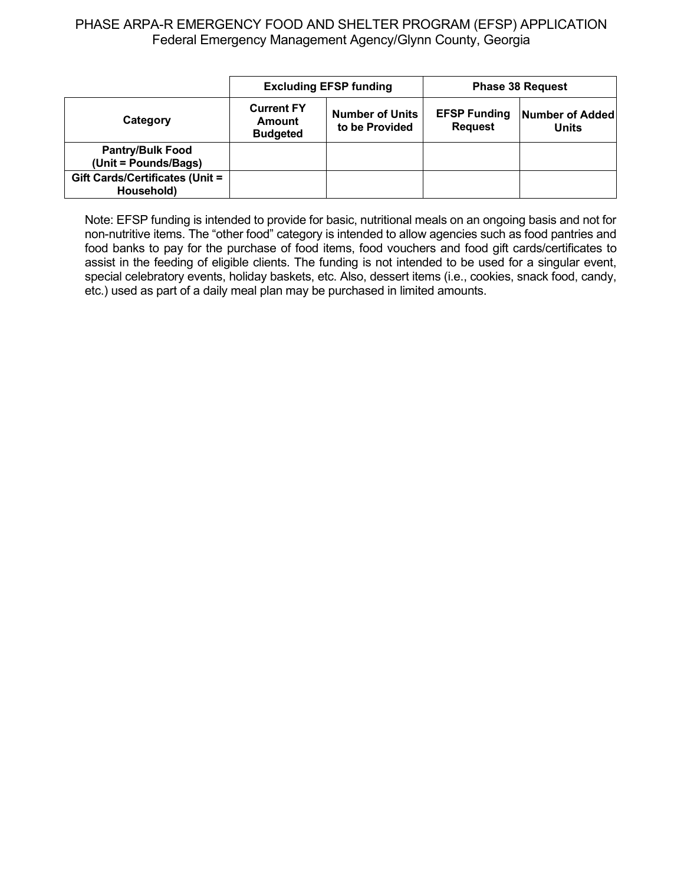|                                                 | <b>Excluding EFSP funding</b>                                                              |  | <b>Phase 38 Request</b>               |                                 |
|-------------------------------------------------|--------------------------------------------------------------------------------------------|--|---------------------------------------|---------------------------------|
| Category                                        | <b>Current FY</b><br><b>Number of Units</b><br>Amount<br>to be Provided<br><b>Budgeted</b> |  | <b>EFSP Funding</b><br><b>Request</b> | Number of Added<br><b>Units</b> |
| <b>Pantry/Bulk Food</b><br>(Unit = Pounds/Bags) |                                                                                            |  |                                       |                                 |
| Gift Cards/Certificates (Unit =<br>Household)   |                                                                                            |  |                                       |                                 |

Note: EFSP funding is intended to provide for basic, nutritional meals on an ongoing basis and not for non-nutritive items. The "other food" category is intended to allow agencies such as food pantries and food banks to pay for the purchase of food items, food vouchers and food gift cards/certificates to assist in the feeding of eligible clients. The funding is not intended to be used for a singular event, special celebratory events, holiday baskets, etc. Also, dessert items (i.e., cookies, snack food, candy, etc.) used as part of a daily meal plan may be purchased in limited amounts.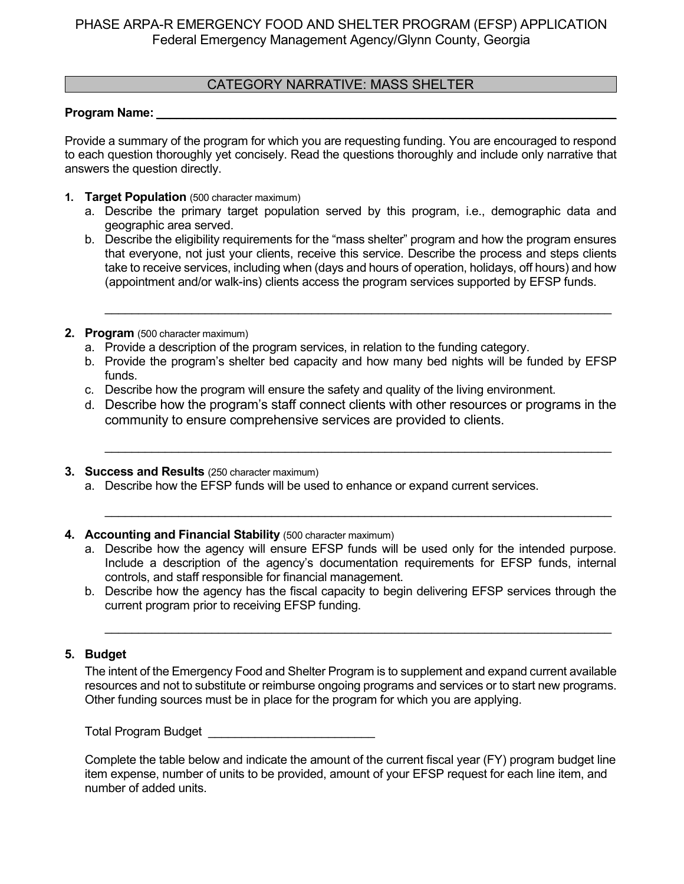### CATEGORY NARRATIVE: MASS SHELTER

### Program Name:

Provide a summary of the program for which you are requesting funding. You are encouraged to respond to each question thoroughly yet concisely. Read the questions thoroughly and include only narrative that answers the question directly.

- **1. Target Population** (500 character maximum)
	- a. Describe the primary target population served by this program, i.e., demographic data and geographic area served.
	- b. Describe the eligibility requirements for the "mass shelter" program and how the program ensures that everyone, not just your clients, receive this service. Describe the process and steps clients take to receive services, including when (days and hours of operation, holidays, off hours) and how (appointment and/or walk-ins) clients access the program services supported by EFSP funds.

\_\_\_\_\_\_\_\_\_\_\_\_\_\_\_\_\_\_\_\_\_\_\_\_\_\_\_\_\_\_\_\_\_\_\_\_\_\_\_\_\_\_\_\_\_\_\_\_\_\_\_\_\_\_\_\_\_\_\_\_\_\_\_\_\_\_\_\_\_\_\_\_\_\_\_\_

- **2. Program** (500 character maximum)
	- a. Provide a description of the program services, in relation to the funding category.
	- b. Provide the program's shelter bed capacity and how many bed nights will be funded by EFSP funds.
	- c. Describe how the program will ensure the safety and quality of the living environment.
	- d. Describe how the program's staff connect clients with other resources or programs in the community to ensure comprehensive services are provided to clients.

\_\_\_\_\_\_\_\_\_\_\_\_\_\_\_\_\_\_\_\_\_\_\_\_\_\_\_\_\_\_\_\_\_\_\_\_\_\_\_\_\_\_\_\_\_\_\_\_\_\_\_\_\_\_\_\_\_\_\_\_\_\_\_\_\_\_\_\_\_\_\_\_\_\_\_\_

\_\_\_\_\_\_\_\_\_\_\_\_\_\_\_\_\_\_\_\_\_\_\_\_\_\_\_\_\_\_\_\_\_\_\_\_\_\_\_\_\_\_\_\_\_\_\_\_\_\_\_\_\_\_\_\_\_\_\_\_\_\_\_\_\_\_\_\_\_\_\_\_\_\_\_\_

- **3. Success and Results** (250 character maximum)
	- a. Describe how the EFSP funds will be used to enhance or expand current services.
- **4. Accounting and Financial Stability** (500 character maximum)
	- a. Describe how the agency will ensure EFSP funds will be used only for the intended purpose. Include a description of the agency's documentation requirements for EFSP funds, internal controls, and staff responsible for financial management.
	- b. Describe how the agency has the fiscal capacity to begin delivering EFSP services through the current program prior to receiving EFSP funding.

\_\_\_\_\_\_\_\_\_\_\_\_\_\_\_\_\_\_\_\_\_\_\_\_\_\_\_\_\_\_\_\_\_\_\_\_\_\_\_\_\_\_\_\_\_\_\_\_\_\_\_\_\_\_\_\_\_\_\_\_\_\_\_\_\_\_\_\_\_\_\_\_\_\_\_\_

### **5. Budget**

The intent of the Emergency Food and Shelter Program is to supplement and expand current available resources and not to substitute or reimburse ongoing programs and services or to start new programs. Other funding sources must be in place for the program for which you are applying.

Total Program Budget **Exercise 20**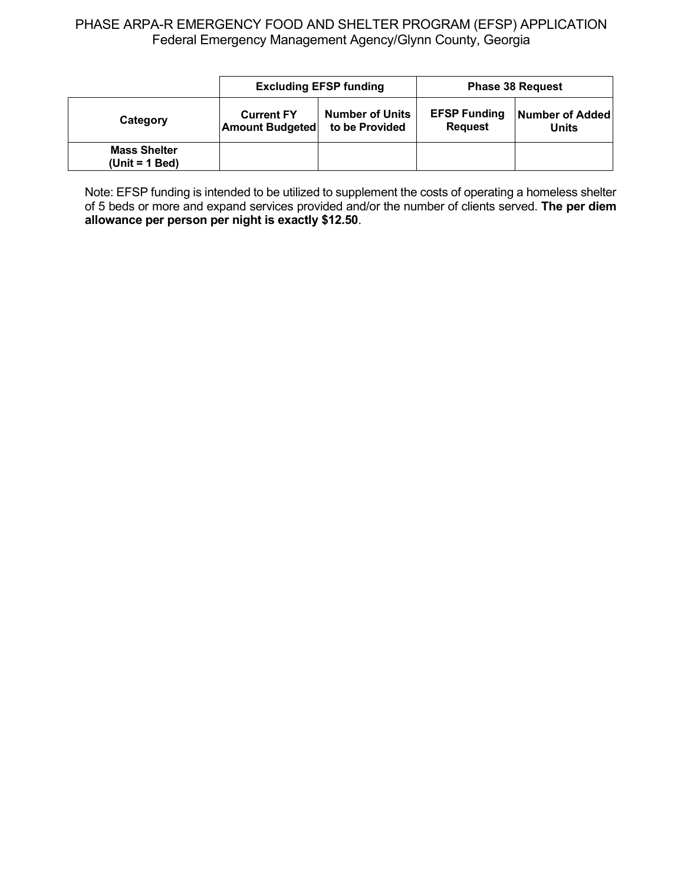|                                         |                                             | <b>Excluding EFSP funding</b>            | <b>Phase 38 Request</b>               |                          |  |
|-----------------------------------------|---------------------------------------------|------------------------------------------|---------------------------------------|--------------------------|--|
| Category                                | <b>Current FY</b><br><b>Amount Budgeted</b> | <b>Number of Units</b><br>to be Provided | <b>EFSP Funding</b><br><b>Request</b> | Number of Added<br>Units |  |
| <b>Mass Shelter</b><br>$(Unit = 1 Bed)$ |                                             |                                          |                                       |                          |  |

Note: EFSP funding is intended to be utilized to supplement the costs of operating a homeless shelter of 5 beds or more and expand services provided and/or the number of clients served. **The per diem allowance per person per night is exactly \$12.50**.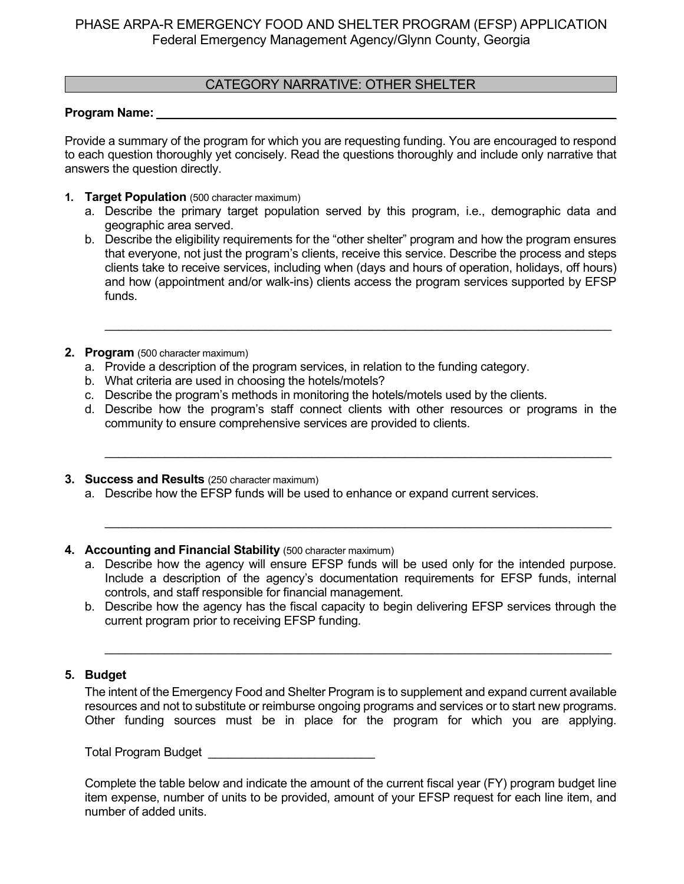### CATEGORY NARRATIVE: OTHER SHELTER

### **Program Name:**

Provide a summary of the program for which you are requesting funding. You are encouraged to respond to each question thoroughly yet concisely. Read the questions thoroughly and include only narrative that answers the question directly.

- **1. Target Population** (500 character maximum)
	- a. Describe the primary target population served by this program, i.e., demographic data and geographic area served.
	- b. Describe the eligibility requirements for the "other shelter" program and how the program ensures that everyone, not just the program's clients, receive this service. Describe the process and steps clients take to receive services, including when (days and hours of operation, holidays, off hours) and how (appointment and/or walk-ins) clients access the program services supported by EFSP funds.

\_\_\_\_\_\_\_\_\_\_\_\_\_\_\_\_\_\_\_\_\_\_\_\_\_\_\_\_\_\_\_\_\_\_\_\_\_\_\_\_\_\_\_\_\_\_\_\_\_\_\_\_\_\_\_\_\_\_\_\_\_\_\_\_\_\_\_\_\_\_\_\_\_\_\_\_

- **2. Program** (500 character maximum)
	- a. Provide a description of the program services, in relation to the funding category.
	- b. What criteria are used in choosing the hotels/motels?
	- c. Describe the program's methods in monitoring the hotels/motels used by the clients.
	- d. Describe how the program's staff connect clients with other resources or programs in the community to ensure comprehensive services are provided to clients.

\_\_\_\_\_\_\_\_\_\_\_\_\_\_\_\_\_\_\_\_\_\_\_\_\_\_\_\_\_\_\_\_\_\_\_\_\_\_\_\_\_\_\_\_\_\_\_\_\_\_\_\_\_\_\_\_\_\_\_\_\_\_\_\_\_\_\_\_\_\_\_\_\_\_\_\_

\_\_\_\_\_\_\_\_\_\_\_\_\_\_\_\_\_\_\_\_\_\_\_\_\_\_\_\_\_\_\_\_\_\_\_\_\_\_\_\_\_\_\_\_\_\_\_\_\_\_\_\_\_\_\_\_\_\_\_\_\_\_\_\_\_\_\_\_\_\_\_\_\_\_\_\_

- **3. Success and Results** (250 character maximum)
	- a. Describe how the EFSP funds will be used to enhance or expand current services.

#### **4. Accounting and Financial Stability** (500 character maximum)

- a. Describe how the agency will ensure EFSP funds will be used only for the intended purpose. Include a description of the agency's documentation requirements for EFSP funds, internal controls, and staff responsible for financial management.
- b. Describe how the agency has the fiscal capacity to begin delivering EFSP services through the current program prior to receiving EFSP funding.

\_\_\_\_\_\_\_\_\_\_\_\_\_\_\_\_\_\_\_\_\_\_\_\_\_\_\_\_\_\_\_\_\_\_\_\_\_\_\_\_\_\_\_\_\_\_\_\_\_\_\_\_\_\_\_\_\_\_\_\_\_\_\_\_\_\_\_\_\_\_\_\_\_\_\_\_

#### **5. Budget**

The intent of the Emergency Food and Shelter Program is to supplement and expand current available resources and not to substitute or reimburse ongoing programs and services or to start new programs. Other funding sources must be in place for the program for which you are applying.

Total Program Budget **Exercise 20**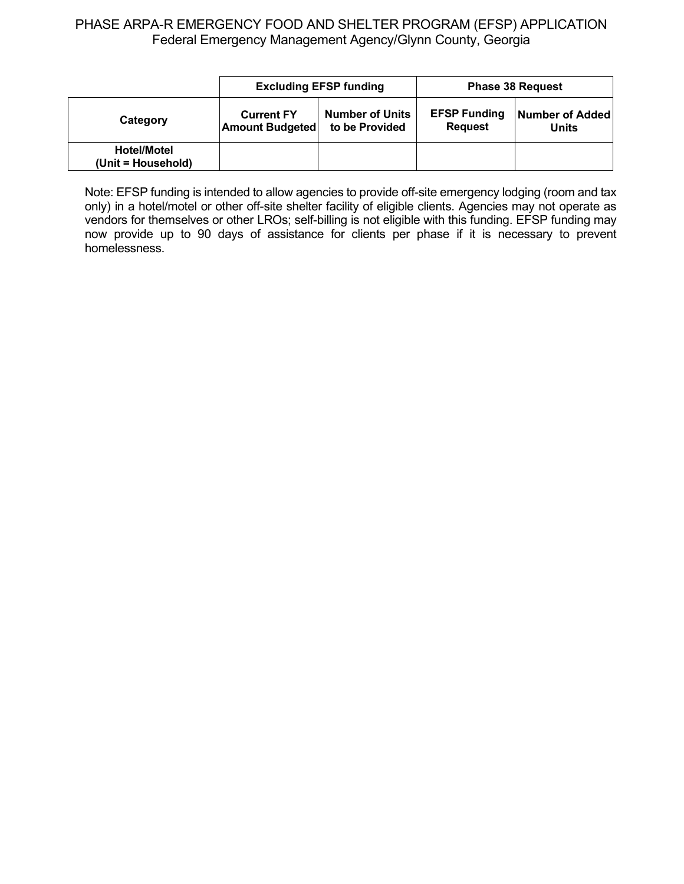|                                          |                                             | <b>Excluding EFSP funding</b>            |                                       | <b>Phase 38 Request</b>  |  |  |
|------------------------------------------|---------------------------------------------|------------------------------------------|---------------------------------------|--------------------------|--|--|
| Category                                 | <b>Current FY</b><br><b>Amount Budgeted</b> | <b>Number of Units</b><br>to be Provided | <b>EFSP Funding</b><br><b>Request</b> | Number of Added<br>Units |  |  |
| <b>Hotel/Motel</b><br>(Unit = Household) |                                             |                                          |                                       |                          |  |  |

Note: EFSP funding is intended to allow agencies to provide off-site emergency lodging (room and tax only) in a hotel/motel or other off-site shelter facility of eligible clients. Agencies may not operate as vendors for themselves or other LROs; self-billing is not eligible with this funding. EFSP funding may now provide up to 90 days of assistance for clients per phase if it is necessary to prevent homelessness.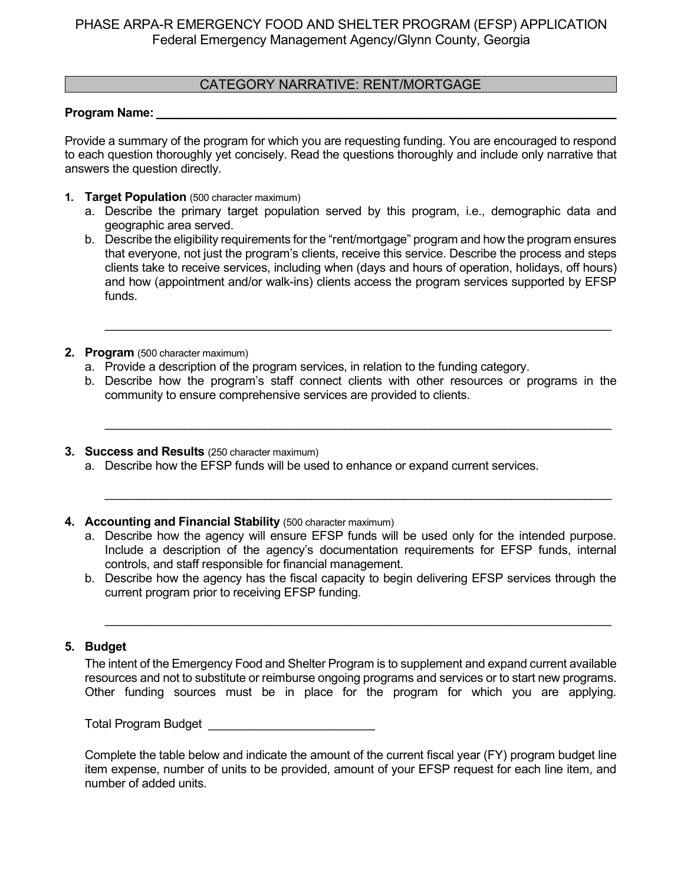### CATEGORY NARRATIVE: RENT/MORTGAGE

#### **Program Name:** \_\_\_\_\_\_\_\_\_\_\_\_\_\_\_\_\_\_\_\_\_\_\_\_\_\_\_\_\_\_\_\_\_\_\_\_\_\_\_\_\_\_\_\_\_\_\_\_\_\_\_\_\_\_\_\_\_\_\_\_\_\_\_\_\_\_\_\_\_

Provide a summary of the program for which you are requesting funding. You are encouraged to respond to each question thoroughly yet concisely. Read the questions thoroughly and include only narrative that answers the question directly.

- **1. Target Population** (500 character maximum)
	- a. Describe the primary target population served by this program, i.e., demographic data and geographic area served.
	- b. Describe the eligibility requirements for the "rent/mortgage" program and how the program ensures that everyone, not just the program's clients, receive this service. Describe the process and steps clients take to receive services, including when (days and hours of operation, holidays, off hours) and how (appointment and/or walk-ins) clients access the program services supported by EFSP funds.

\_\_\_\_\_\_\_\_\_\_\_\_\_\_\_\_\_\_\_\_\_\_\_\_\_\_\_\_\_\_\_\_\_\_\_\_\_\_\_\_\_\_\_\_\_\_\_\_\_\_\_\_\_\_\_\_\_\_\_\_\_\_\_\_\_\_\_\_\_\_\_\_\_\_\_\_

- **2. Program** (500 character maximum)
	- a. Provide a description of the program services, in relation to the funding category.
	- b. Describe how the program's staff connect clients with other resources or programs in the community to ensure comprehensive services are provided to clients.

\_\_\_\_\_\_\_\_\_\_\_\_\_\_\_\_\_\_\_\_\_\_\_\_\_\_\_\_\_\_\_\_\_\_\_\_\_\_\_\_\_\_\_\_\_\_\_\_\_\_\_\_\_\_\_\_\_\_\_\_\_\_\_\_\_\_\_\_\_\_\_\_\_\_\_\_

\_\_\_\_\_\_\_\_\_\_\_\_\_\_\_\_\_\_\_\_\_\_\_\_\_\_\_\_\_\_\_\_\_\_\_\_\_\_\_\_\_\_\_\_\_\_\_\_\_\_\_\_\_\_\_\_\_\_\_\_\_\_\_\_\_\_\_\_\_\_\_\_\_\_\_\_

- **3. Success and Results** (250 character maximum)
	- a. Describe how the EFSP funds will be used to enhance or expand current services.
- **4. Accounting and Financial Stability** (500 character maximum)
	- a. Describe how the agency will ensure EFSP funds will be used only for the intended purpose. Include a description of the agency's documentation requirements for EFSP funds, internal controls, and staff responsible for financial management.
	- b. Describe how the agency has the fiscal capacity to begin delivering EFSP services through the current program prior to receiving EFSP funding.

\_\_\_\_\_\_\_\_\_\_\_\_\_\_\_\_\_\_\_\_\_\_\_\_\_\_\_\_\_\_\_\_\_\_\_\_\_\_\_\_\_\_\_\_\_\_\_\_\_\_\_\_\_\_\_\_\_\_\_\_\_\_\_\_\_\_\_\_\_\_\_\_\_\_\_\_

### **5. Budget**

The intent of the Emergency Food and Shelter Program is to supplement and expand current available resources and not to substitute or reimburse ongoing programs and services or to start new programs. Other funding sources must be in place for the program for which you are applying.

Total Program Budget **Exercise 20**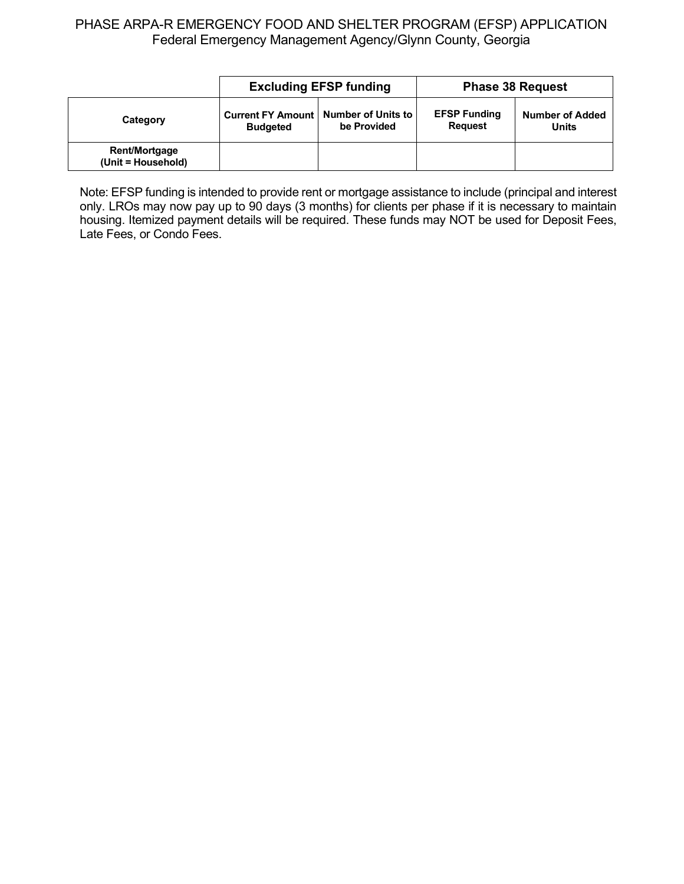|                                            |                                                                          | <b>Excluding EFSP funding</b> | <b>Phase 38 Request</b>               |                                        |  |
|--------------------------------------------|--------------------------------------------------------------------------|-------------------------------|---------------------------------------|----------------------------------------|--|
| Category                                   | Current FY Amount   Number of Units to<br>be Provided<br><b>Budgeted</b> |                               | <b>EFSP Funding</b><br><b>Request</b> | <b>Number of Added</b><br><b>Units</b> |  |
| <b>Rent/Mortgage</b><br>(Unit = Household) |                                                                          |                               |                                       |                                        |  |

Note: EFSP funding is intended to provide rent or mortgage assistance to include (principal and interest only. LROs may now pay up to 90 days (3 months) for clients per phase if it is necessary to maintain housing. Itemized payment details will be required. These funds may NOT be used for Deposit Fees, Late Fees, or Condo Fees.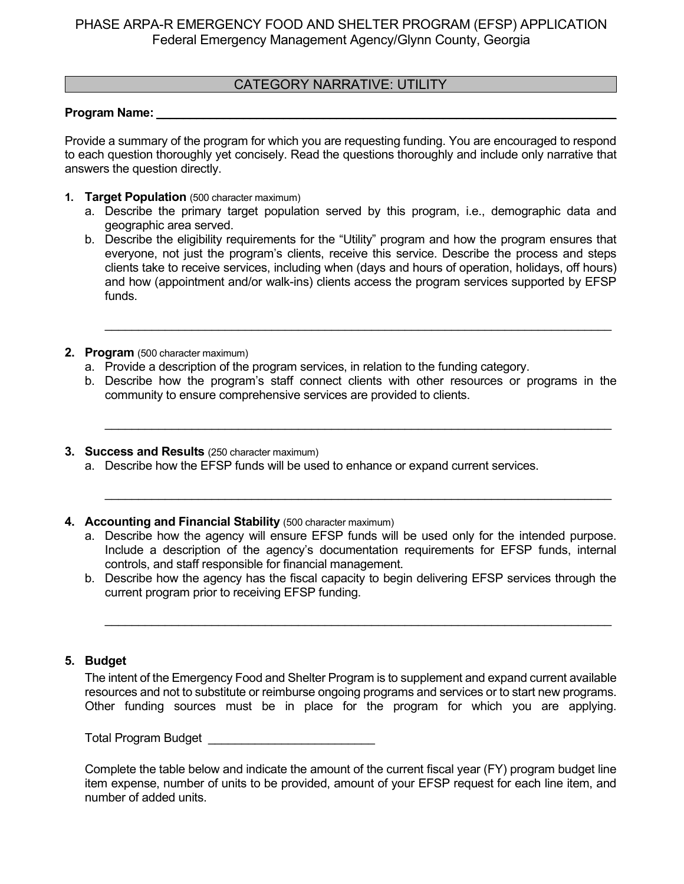### CATEGORY NARRATIVE: UTILITY

#### **Program Name:** \_\_\_\_\_\_\_\_\_\_\_\_\_\_\_\_\_\_\_\_\_\_\_\_\_\_\_\_\_\_\_\_\_\_\_\_\_\_\_\_\_\_\_\_\_\_\_\_\_\_\_\_\_\_\_\_\_\_\_\_\_\_\_\_\_\_\_\_\_

Provide a summary of the program for which you are requesting funding. You are encouraged to respond to each question thoroughly yet concisely. Read the questions thoroughly and include only narrative that answers the question directly.

- **1. Target Population** (500 character maximum)
	- a. Describe the primary target population served by this program, i.e., demographic data and geographic area served.
	- b. Describe the eligibility requirements for the "Utility" program and how the program ensures that everyone, not just the program's clients, receive this service. Describe the process and steps clients take to receive services, including when (days and hours of operation, holidays, off hours) and how (appointment and/or walk-ins) clients access the program services supported by EFSP funds.

\_\_\_\_\_\_\_\_\_\_\_\_\_\_\_\_\_\_\_\_\_\_\_\_\_\_\_\_\_\_\_\_\_\_\_\_\_\_\_\_\_\_\_\_\_\_\_\_\_\_\_\_\_\_\_\_\_\_\_\_\_\_\_\_\_\_\_\_\_\_\_\_\_\_\_\_

- **2. Program** (500 character maximum)
	- a. Provide a description of the program services, in relation to the funding category.
	- b. Describe how the program's staff connect clients with other resources or programs in the community to ensure comprehensive services are provided to clients.

\_\_\_\_\_\_\_\_\_\_\_\_\_\_\_\_\_\_\_\_\_\_\_\_\_\_\_\_\_\_\_\_\_\_\_\_\_\_\_\_\_\_\_\_\_\_\_\_\_\_\_\_\_\_\_\_\_\_\_\_\_\_\_\_\_\_\_\_\_\_\_\_\_\_\_\_

\_\_\_\_\_\_\_\_\_\_\_\_\_\_\_\_\_\_\_\_\_\_\_\_\_\_\_\_\_\_\_\_\_\_\_\_\_\_\_\_\_\_\_\_\_\_\_\_\_\_\_\_\_\_\_\_\_\_\_\_\_\_\_\_\_\_\_\_\_\_\_\_\_\_\_\_

- **3. Success and Results** (250 character maximum)
	- a. Describe how the EFSP funds will be used to enhance or expand current services.
- **4. Accounting and Financial Stability** (500 character maximum)
	- a. Describe how the agency will ensure EFSP funds will be used only for the intended purpose. Include a description of the agency's documentation requirements for EFSP funds, internal controls, and staff responsible for financial management.
	- b. Describe how the agency has the fiscal capacity to begin delivering EFSP services through the current program prior to receiving EFSP funding.

\_\_\_\_\_\_\_\_\_\_\_\_\_\_\_\_\_\_\_\_\_\_\_\_\_\_\_\_\_\_\_\_\_\_\_\_\_\_\_\_\_\_\_\_\_\_\_\_\_\_\_\_\_\_\_\_\_\_\_\_\_\_\_\_\_\_\_\_\_\_\_\_\_\_\_\_

### **5. Budget**

The intent of the Emergency Food and Shelter Program is to supplement and expand current available resources and not to substitute or reimburse ongoing programs and services or to start new programs. Other funding sources must be in place for the program for which you are applying.

Total Program Budget **Exercise 20**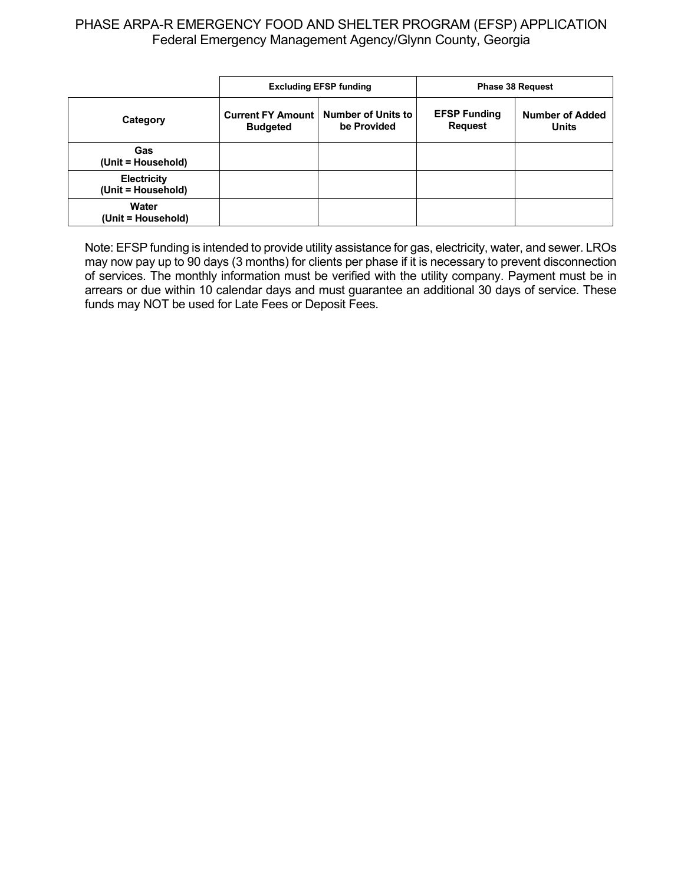|                                          | <b>Excluding EFSP funding</b>               |                                          |                                       | <b>Phase 38 Request</b>                |
|------------------------------------------|---------------------------------------------|------------------------------------------|---------------------------------------|----------------------------------------|
| Category                                 | <b>Current FY Amount</b><br><b>Budgeted</b> | <b>Number of Units to</b><br>be Provided | <b>EFSP Funding</b><br><b>Request</b> | <b>Number of Added</b><br><b>Units</b> |
| Gas<br>(Unit = Household)                |                                             |                                          |                                       |                                        |
| <b>Electricity</b><br>(Unit = Household) |                                             |                                          |                                       |                                        |
| Water<br>(Unit = Household)              |                                             |                                          |                                       |                                        |

Note: EFSP funding is intended to provide utility assistance for gas, electricity, water, and sewer. LROs may now pay up to 90 days (3 months) for clients per phase if it is necessary to prevent disconnection of services. The monthly information must be verified with the utility company. Payment must be in arrears or due within 10 calendar days and must guarantee an additional 30 days of service. These funds may NOT be used for Late Fees or Deposit Fees.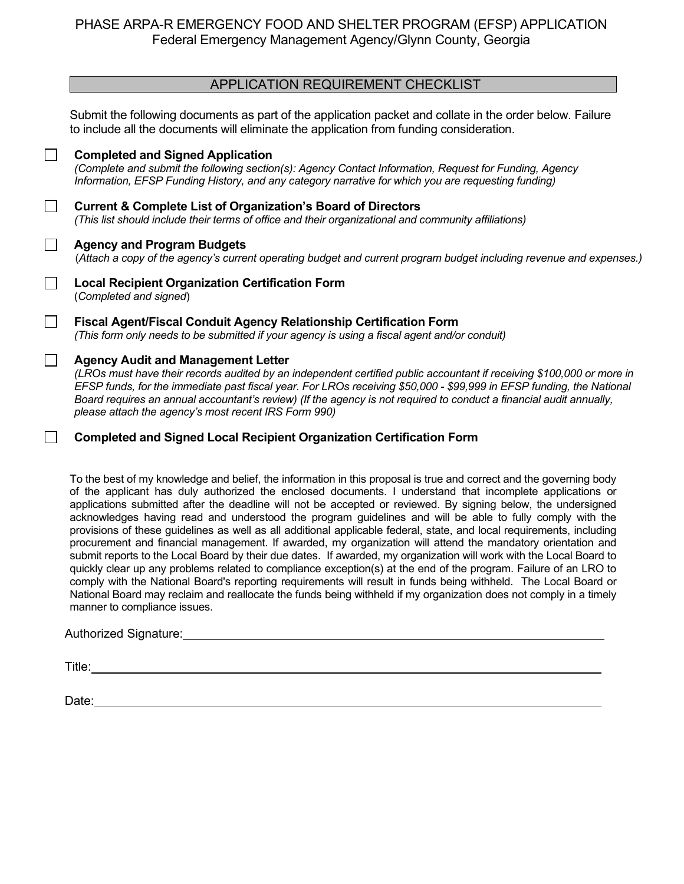### APPLICATION REQUIREMENT CHECKLIST

Submit the following documents as part of the application packet and collate in the order below. Failure to include all the documents will eliminate the application from funding consideration.

|              | <b>Completed and Signed Application</b><br>(Complete and submit the following section(s): Agency Contact Information, Request for Funding, Agency<br>Information, EFSP Funding History, and any category narrative for which you are requesting funding)                                                                                                                                                                                                                  |
|--------------|---------------------------------------------------------------------------------------------------------------------------------------------------------------------------------------------------------------------------------------------------------------------------------------------------------------------------------------------------------------------------------------------------------------------------------------------------------------------------|
|              | <b>Current &amp; Complete List of Organization's Board of Directors</b><br>(This list should include their terms of office and their organizational and community affiliations)                                                                                                                                                                                                                                                                                           |
|              | <b>Agency and Program Budgets</b><br>(Attach a copy of the agency's current operating budget and current program budget including revenue and expenses.)                                                                                                                                                                                                                                                                                                                  |
|              | <b>Local Recipient Organization Certification Form</b><br>(Completed and signed)                                                                                                                                                                                                                                                                                                                                                                                          |
| $\mathbf{L}$ | Fiscal Agent/Fiscal Conduit Agency Relationship Certification Form<br>(This form only needs to be submitted if your agency is using a fiscal agent and/or conduit)                                                                                                                                                                                                                                                                                                        |
| $\mathbf{L}$ | <b>Agency Audit and Management Letter</b><br>(LROs must have their records audited by an independent certified public accountant if receiving \$100,000 or more in<br>EFSP funds, for the immediate past fiscal year. For LROs receiving \$50,000 - \$99,999 in EFSP funding, the National<br>Board requires an annual accountant's review) (If the agency is not required to conduct a financial audit annually,<br>please attach the agency's most recent IRS Form 990) |
|              | <b>Completed and Signed Local Recipient Organization Certification Form</b>                                                                                                                                                                                                                                                                                                                                                                                               |

To the best of my knowledge and belief, the information in this proposal is true and correct and the governing body of the applicant has duly authorized the enclosed documents. I understand that incomplete applications or applications submitted after the deadline will not be accepted or reviewed. By signing below, the undersigned acknowledges having read and understood the program guidelines and will be able to fully comply with the provisions of these guidelines as well as all additional applicable federal, state, and local requirements, including procurement and financial management. If awarded, my organization will attend the mandatory orientation and submit reports to the Local Board by their due dates. If awarded, my organization will work with the Local Board to quickly clear up any problems related to compliance exception(s) at the end of the program. Failure of an LRO to comply with the National Board's reporting requirements will result in funds being withheld. The Local Board or National Board may reclaim and reallocate the funds being withheld if my organization does not comply in a timely manner to compliance issues.

#### Authorized Signature:

Title: **The Community of the Community of the Community of the Community of the Community of the Community of the Community of the Community of the Community of the Community of the Community of the Community of the Commun** 

Date: when the contract of the contract of the contract of the contract of the contract of the contract of the contract of the contract of the contract of the contract of the contract of the contract of the contract of the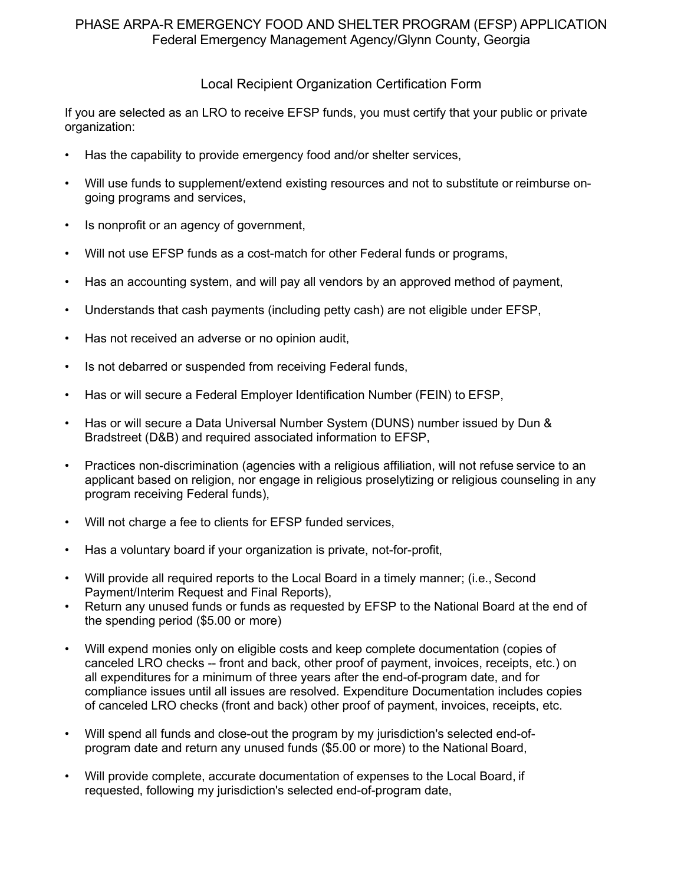### Local Recipient Organization Certification Form

If you are selected as an LRO to receive EFSP funds, you must certify that your public or private organization:

- Has the capability to provide emergency food and/or shelter services,
- Will use funds to supplement/extend existing resources and not to substitute or reimburse ongoing programs and services,
- Is nonprofit or an agency of government,
- Will not use EFSP funds as a cost-match for other Federal funds or programs,
- Has an accounting system, and will pay all vendors by an approved method of payment,
- Understands that cash payments (including petty cash) are not eligible under EFSP,
- Has not received an adverse or no opinion audit,
- Is not debarred or suspended from receiving Federal funds,
- Has or will secure a Federal Employer Identification Number (FEIN) to EFSP,
- Has or will secure a Data Universal Number System (DUNS) number issued by Dun & Bradstreet (D&B) and required associated information to EFSP,
- Practices non-discrimination (agencies with a religious affiliation, will not refuse service to an applicant based on religion, nor engage in religious proselytizing or religious counseling in any program receiving Federal funds),
- Will not charge a fee to clients for EFSP funded services,
- Has a voluntary board if your organization is private, not-for-profit,
- Will provide all required reports to the Local Board in a timely manner; (i.e., Second Payment/Interim Request and Final Reports),
- Return any unused funds or funds as requested by EFSP to the National Board at the end of the spending period (\$5.00 or more)
- Will expend monies only on eligible costs and keep complete documentation (copies of canceled LRO checks -- front and back, other proof of payment, invoices, receipts, etc.) on all expenditures for a minimum of three years after the end-of-program date, and for compliance issues until all issues are resolved. Expenditure Documentation includes copies of canceled LRO checks (front and back) other proof of payment, invoices, receipts, etc.
- Will spend all funds and close-out the program by my jurisdiction's selected end-ofprogram date and return any unused funds (\$5.00 or more) to the National Board,
- Will provide complete, accurate documentation of expenses to the Local Board, if requested, following my jurisdiction's selected end-of-program date,